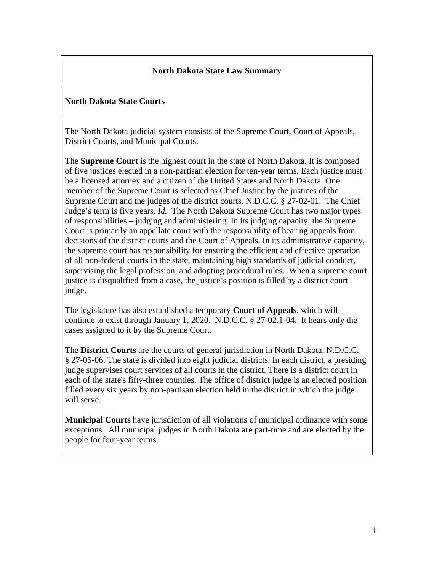### **North Dakota State Law Summary**

### **North Dakota State Courts**

The North Dakota judicial system consists of the Supreme Court, Court of Appeals, District Courts, and Municipal Courts.

The **Supreme Court** is the highest court in the state of North Dakota. It is composed of five justices elected in a non-partisan election for ten-year terms. Each justice must be a licensed attorney and a citizen of the United States and North Dakota. One member of the Supreme Court is selected as Chief Justice by the justices of the Supreme Court and the judges of the district courts. N.D.C.C. § 27-02-01. The Chief Judge's term is five years. *Id.* The North Dakota Supreme Court has two major types of responsibilities – judging and administering. In its judging capacity, the Supreme Court is primarily an appellate court with the responsibility of hearing appeals from decisions of the district courts and the Court of Appeals. In its administrative capacity, the supreme court has responsibility for ensuring the efficient and effective operation of all non-federal courts in the state, maintaining high standards of judicial conduct, supervising the legal profession, and adopting procedural rules. When a supreme court justice is disqualified from a case, the justice's position is filled by a district court judge.

The legislature has also established a temporary **Court of Appeals**, which will continue to exist through January 1, 2020. N.D.C.C. § 27-02.1-04. It hears only the cases assigned to it by the Supreme Court.

The **District Courts** are the courts of general jurisdiction in North Dakota. N.D.C.C. § 27-05-06. The state is divided into eight judicial districts. In each district, a presiding judge supervises court services of all courts in the district. There is a district court in each of the state's fifty-three counties. The office of district judge is an elected position filled every six years by non-partisan election held in the district in which the judge will serve.

**Municipal Courts** have jurisdiction of all violations of municipal ordinance with some exceptions. All municipal judges in North Dakota are part-time and are elected by the people for four-year terms.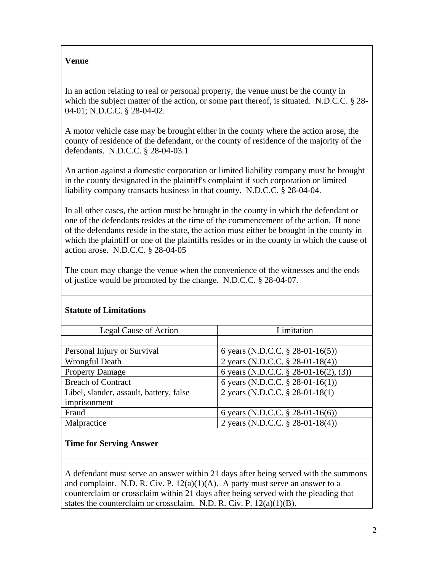#### **Venue**

In an action relating to real or personal property, the venue must be the county in which the subject matter of the action, or some part thereof, is situated. N.D.C.C. § 28-04-01; N.D.C.C. § 28-04-02.

A motor vehicle case may be brought either in the county where the action arose, the county of residence of the defendant, or the county of residence of the majority of the defendants. N.D.C.C. § 28-04-03.1

An action against a domestic corporation or limited liability company must be brought in the county designated in the plaintiff's complaint if such corporation or limited liability company transacts business in that county. N.D.C.C. § 28-04-04.

In all other cases, the action must be brought in the county in which the defendant or one of the defendants resides at the time of the commencement of the action. If none of the defendants reside in the state, the action must either be brought in the county in which the plaintiff or one of the plaintiffs resides or in the county in which the cause of action arose. N.D.C.C. § 28-04-05

The court may change the venue when the convenience of the witnesses and the ends of justice would be promoted by the change. N.D.C.C. § 28-04-07.

| Legal Cause of Action                   | Limitation                               |
|-----------------------------------------|------------------------------------------|
|                                         |                                          |
| Personal Injury or Survival             | 6 years (N.D.C.C. § 28-01-16(5))         |
| Wrongful Death                          | 2 years (N.D.C.C. § 28-01-18(4))         |
| <b>Property Damage</b>                  | 6 years (N.D.C.C. $\S$ 28-01-16(2), (3)) |
| <b>Breach of Contract</b>               | 6 years (N.D.C.C. $\S$ 28-01-16(1))      |
| Libel, slander, assault, battery, false | 2 years (N.D.C.C. § 28-01-18(1)          |
| imprisonment                            |                                          |
| Fraud                                   | 6 years (N.D.C.C. $\S$ 28-01-16(6))      |
| Malpractice                             | 2 years (N.D.C.C. § 28-01-18(4))         |

### **Statute of Limitations**

#### **Time for Serving Answer**

A defendant must serve an answer within 21 days after being served with the summons and complaint. N.D. R. Civ. P.  $12(a)(1)(A)$ . A party must serve an answer to a counterclaim or crossclaim within 21 days after being served with the pleading that states the counterclaim or crossclaim. N.D. R. Civ. P. 12(a)(1)(B).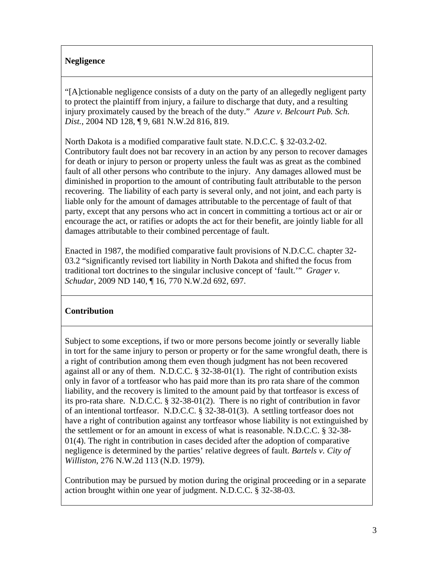### **Negligence**

"[A]ctionable negligence consists of a duty on the party of an allegedly negligent party to protect the plaintiff from injury, a failure to discharge that duty, and a resulting injury proximately caused by the breach of the duty." *Azure v. Belcourt Pub. Sch. Dist.*, 2004 ND 128, ¶ 9, 681 N.W.2d 816, 819.

North Dakota is a modified comparative fault state. N.D.C.C. § 32-03.2-02. Contributory fault does not bar recovery in an action by any person to recover damages for death or injury to person or property unless the fault was as great as the combined fault of all other persons who contribute to the injury. Any damages allowed must be diminished in proportion to the amount of contributing fault attributable to the person recovering. The liability of each party is several only, and not joint, and each party is liable only for the amount of damages attributable to the percentage of fault of that party, except that any persons who act in concert in committing a tortious act or air or encourage the act, or ratifies or adopts the act for their benefit, are jointly liable for all damages attributable to their combined percentage of fault.

Enacted in 1987, the modified comparative fault provisions of N.D.C.C. chapter 32- 03.2 "significantly revised tort liability in North Dakota and shifted the focus from traditional tort doctrines to the singular inclusive concept of 'fault.'" *Grager v. Schudar*, 2009 ND 140, ¶ 16, 770 N.W.2d 692, 697.

### **Contribution**

Subject to some exceptions, if two or more persons become jointly or severally liable in tort for the same injury to person or property or for the same wrongful death, there is a right of contribution among them even though judgment has not been recovered against all or any of them. N.D.C.C. § 32-38-01(1). The right of contribution exists only in favor of a tortfeasor who has paid more than its pro rata share of the common liability, and the recovery is limited to the amount paid by that tortfeasor is excess of its pro-rata share. N.D.C.C. § 32-38-01(2). There is no right of contribution in favor of an intentional tortfeasor. N.D.C.C. § 32-38-01(3). A settling tortfeasor does not have a right of contribution against any tortfeasor whose liability is not extinguished by the settlement or for an amount in excess of what is reasonable. N.D.C.C. § 32-38- 01(4). The right in contribution in cases decided after the adoption of comparative negligence is determined by the parties' relative degrees of fault. *Bartels v. City of Williston*, 276 N.W.2d 113 (N.D. 1979).

Contribution may be pursued by motion during the original proceeding or in a separate action brought within one year of judgment. N.D.C.C. § 32-38-03.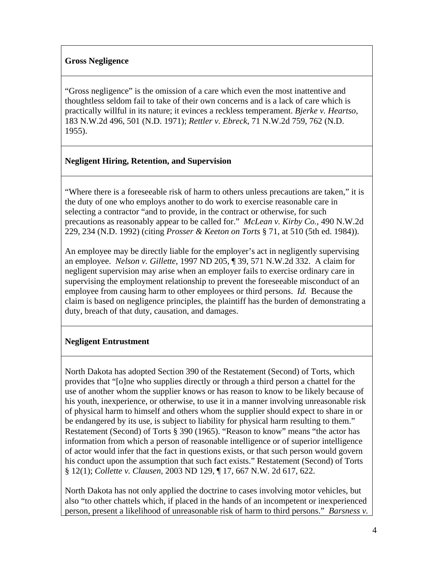#### **Gross Negligence**

"Gross negligence" is the omission of a care which even the most inattentive and thoughtless seldom fail to take of their own concerns and is a lack of care which is practically willful in its nature; it evinces a reckless temperament. *Bjerke v. Heartso*, 183 N.W.2d 496, 501 (N.D. 1971); *Rettler v. Ebreck*, 71 N.W.2d 759, 762 (N.D. 1955).

#### **Negligent Hiring, Retention, and Supervision**

"Where there is a foreseeable risk of harm to others unless precautions are taken," it is the duty of one who employs another to do work to exercise reasonable care in selecting a contractor "and to provide, in the contract or otherwise, for such precautions as reasonably appear to be called for." *McLean v. Kirby Co.,* 490 N.W.2d 229, 234 (N.D. 1992) (citing *Prosser & Keeton on Torts* § 71, at 510 (5th ed. 1984)).

An employee may be directly liable for the employer's act in negligently supervising an employee. *Nelson v. Gillette*, 1997 ND 205, ¶ 39, 571 N.W.2d 332. A claim for negligent supervision may arise when an employer fails to exercise ordinary care in supervising the employment relationship to prevent the foreseeable misconduct of an employee from causing harm to other employees or third persons. *Id.* Because the claim is based on negligence principles, the plaintiff has the burden of demonstrating a duty, breach of that duty, causation, and damages.

### **Negligent Entrustment**

North Dakota has adopted Section 390 of the Restatement (Second) of Torts, which provides that "[o]ne who supplies directly or through a third person a chattel for the use of another whom the supplier knows or has reason to know to be likely because of his youth, inexperience, or otherwise, to use it in a manner involving unreasonable risk of physical harm to himself and others whom the supplier should expect to share in or be endangered by its use, is subject to liability for physical harm resulting to them." Restatement (Second) of Torts § 390 (1965). "Reason to know" means "the actor has information from which a person of reasonable intelligence or of superior intelligence of actor would infer that the fact in questions exists, or that such person would govern his conduct upon the assumption that such fact exists." Restatement (Second) of Torts § 12(1); *Collette v. Clausen*, 2003 ND 129, ¶ 17, 667 N.W. 2d 617, 622.

North Dakota has not only applied the doctrine to cases involving motor vehicles, but also "to other chattels which, if placed in the hands of an incompetent or inexperienced person, present a likelihood of unreasonable risk of harm to third persons." *Barsness v.*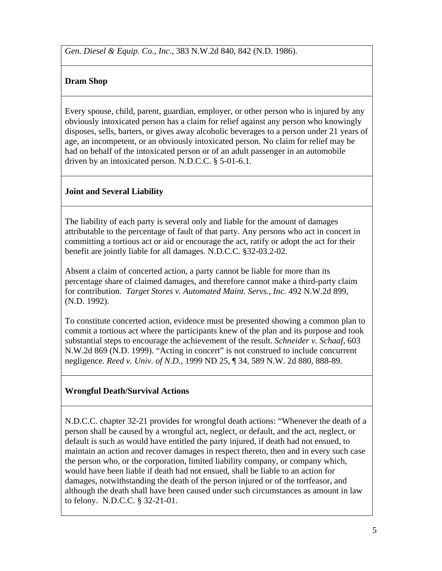*Gen. Diesel & Equip. Co., Inc.*, 383 N.W.2d 840, 842 (N.D. 1986).

# **Dram Shop**

Every spouse, child, parent, guardian, employer, or other person who is injured by any obviously intoxicated person has a claim for relief against any person who knowingly disposes, sells, barters, or gives away alcoholic beverages to a person under 21 years of age, an incompetent, or an obviously intoxicated person. No claim for relief may be had on behalf of the intoxicated person or of an adult passenger in an automobile driven by an intoxicated person. N.D.C.C. § 5-01-6.1.

# **Joint and Several Liability**

The liability of each party is several only and liable for the amount of damages attributable to the percentage of fault of that party. Any persons who act in concert in committing a tortious act or aid or encourage the act, ratify or adopt the act for their benefit are jointly liable for all damages. N.D.C.C. §32-03.2-02.

Absent a claim of concerted action, a party cannot be liable for more than its percentage share of claimed damages, and therefore cannot make a third-party claim for contribution. *Target Stores v. Automated Maint. Servs., Inc.* 492 N.W.2d 899, (N.D. 1992).

To constitute concerted action, evidence must be presented showing a common plan to commit a tortious act where the participants knew of the plan and its purpose and took substantial steps to encourage the achievement of the result. *Schneider v. Schaaf*, 603 N.W.2d 869 (N.D. 1999). "Acting in concert" is not construed to include concurrent negligence. *Reed v. Univ. of N.D.*, 1999 ND 25, ¶ 34, 589 N.W. 2d 880, 888-89.

# **Wrongful Death/Survival Actions**

N.D.C.C. chapter 32-21 provides for wrongful death actions: "Whenever the death of a person shall be caused by a wrongful act, neglect, or default, and the act, neglect, or default is such as would have entitled the party injured, if death had not ensued, to maintain an action and recover damages in respect thereto, then and in every such case the person who, or the corporation, limited liability company, or company which, would have been liable if death had not ensued, shall be liable to an action for damages, notwithstanding the death of the person injured or of the tortfeasor, and although the death shall have been caused under such circumstances as amount in law to felony. N.D.C.C. § 32-21-01.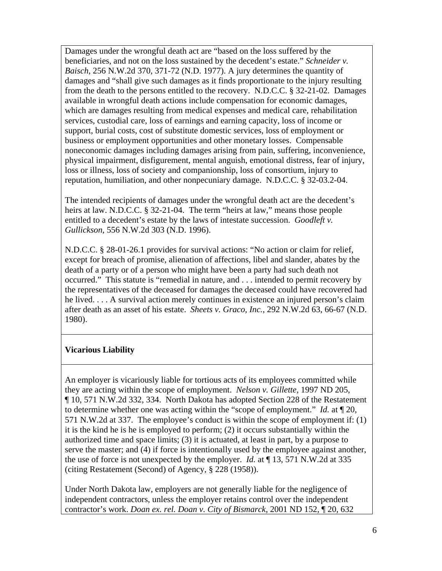Damages under the wrongful death act are "based on the loss suffered by the beneficiaries, and not on the loss sustained by the decedent's estate." *Schneider v. Baisch*, 256 N.W.2d 370, 371-72 (N.D. 1977). A jury determines the quantity of damages and "shall give such damages as it finds proportionate to the injury resulting from the death to the persons entitled to the recovery. N.D.C.C. § 32-21-02. Damages available in wrongful death actions include compensation for economic damages, which are damages resulting from medical expenses and medical care, rehabilitation services, custodial care, loss of earnings and earning capacity, loss of income or support, burial costs, cost of substitute domestic services, loss of employment or business or employment opportunities and other monetary losses. Compensable noneconomic damages including damages arising from pain, suffering, inconvenience, physical impairment, disfigurement, mental anguish, emotional distress, fear of injury, loss or illness, loss of society and companionship, loss of consortium, injury to reputation, humiliation, and other nonpecuniary damage. N.D.C.C. § 32-03.2-04.

The intended recipients of damages under the wrongful death act are the decedent's heirs at law. N.D.C.C. § 32-21-04. The term "heirs at law," means those people entitled to a decedent's estate by the laws of intestate succession. *Goodleft v. Gullickson*, 556 N.W.2d 303 (N.D. 1996).

N.D.C.C. § 28-01-26.1 provides for survival actions: "No action or claim for relief, except for breach of promise, alienation of affections, libel and slander, abates by the death of a party or of a person who might have been a party had such death not occurred." This statute is "remedial in nature, and . . . intended to permit recovery by the representatives of the deceased for damages the deceased could have recovered had he lived. . . . A survival action merely continues in existence an injured person's claim after death as an asset of his estate. *Sheets v. Graco, Inc.*, 292 N.W.2d 63, 66-67 (N.D. 1980).

### **Vicarious Liability**

An employer is vicariously liable for tortious acts of its employees committed while they are acting within the scope of employment. *Nelson v. Gillette*, 1997 ND 205, ¶ 10, 571 N.W.2d 332, 334. North Dakota has adopted Section 228 of the Restatement to determine whether one was acting within the "scope of employment." *Id.* at ¶ 20, 571 N.W.2d at 337. The employee's conduct is within the scope of employment if: (1) it is the kind he is he is employed to perform; (2) it occurs substantially within the authorized time and space limits; (3) it is actuated, at least in part, by a purpose to serve the master; and (4) if force is intentionally used by the employee against another, the use of force is not unexpected by the employer. *Id.* at ¶ 13, 571 N.W.2d at 335 (citing Restatement (Second) of Agency, § 228 (1958)).

Under North Dakota law, employers are not generally liable for the negligence of independent contractors, unless the employer retains control over the independent contractor's work. *Doan ex. rel. Doan v. City of Bismarck*, 2001 ND 152, ¶ 20, 632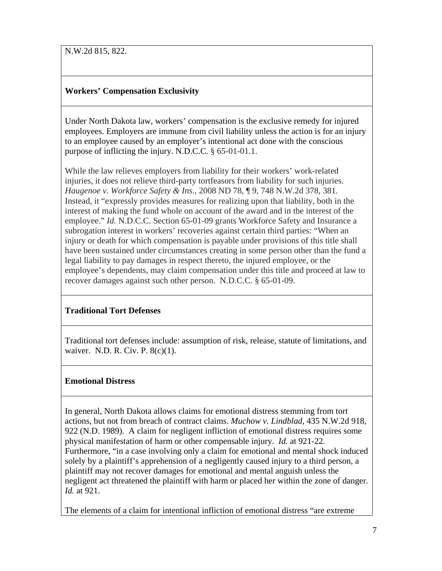N.W.2d 815, 822.

### **Workers' Compensation Exclusivity**

Under North Dakota law, workers' compensation is the exclusive remedy for injured employees. Employers are immune from civil liability unless the action is for an injury to an employee caused by an employer's intentional act done with the conscious purpose of inflicting the injury. N.D.C.C. § 65-01-01.1.

While the law relieves employers from liability for their workers' work-related injuries, it does not relieve third-party tortfeasors from liability for such injuries. *Haugenoe v. Workforce Safety & Ins.*, 2008 ND 78, ¶ 9, 748 N.W.2d 378, 381. Instead, it "expressly provides measures for realizing upon that liability, both in the interest of making the fund whole on account of the award and in the interest of the employee." *Id.* N.D.C.C. Section 65-01-09 grants Workforce Safety and Insurance a subrogation interest in workers' recoveries against certain third parties: "When an injury or death for which compensation is payable under provisions of this title shall have been sustained under circumstances creating in some person other than the fund a legal liability to pay damages in respect thereto, the injured employee, or the employee's dependents, may claim compensation under this title and proceed at law to recover damages against such other person. N.D.C.C. § 65-01-09.

### **Traditional Tort Defenses**

Traditional tort defenses include: assumption of risk, release, statute of limitations, and waiver. N.D. R. Civ. P. 8(c)(1).

### **Emotional Distress**

In general, North Dakota allows claims for emotional distress stemming from tort actions, but not from breach of contract claims. *Muchow v. Lindblad*, 435 N.W.2d 918, 922 (N.D. 1989). A claim for negligent infliction of emotional distress requires some physical manifestation of harm or other compensable injury. *Id.* at 921-22. Furthermore, "in a case involving only a claim for emotional and mental shock induced solely by a plaintiff's apprehension of a negligently caused injury to a third person, a plaintiff may not recover damages for emotional and mental anguish unless the negligent act threatened the plaintiff with harm or placed her within the zone of danger. *Id.* at 921.

The elements of a claim for intentional infliction of emotional distress "are extreme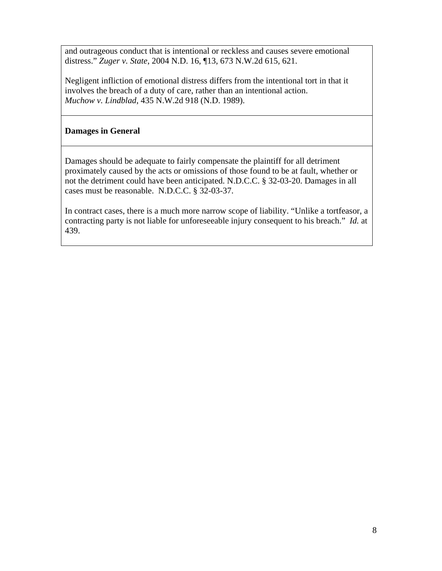and outrageous conduct that is intentional or reckless and causes severe emotional distress." *Zuger v. State*, 2004 N.D. 16, ¶13, 673 N.W.2d 615, 621.

Negligent infliction of emotional distress differs from the intentional tort in that it involves the breach of a duty of care, rather than an intentional action. *Muchow v. Lindblad*, 435 N.W.2d 918 (N.D. 1989).

### **Damages in General**

Damages should be adequate to fairly compensate the plaintiff for all detriment proximately caused by the acts or omissions of those found to be at fault, whether or not the detriment could have been anticipated. N.D.C.C. § 32-03-20. Damages in all cases must be reasonable. N.D.C.C. § 32-03-37.

In contract cases, there is a much more narrow scope of liability. "Unlike a tortfeasor, a contracting party is not liable for unforeseeable injury consequent to his breach." *Id.* at 439.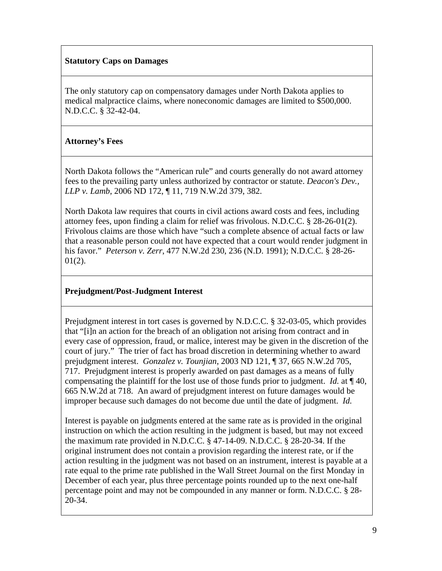#### **Statutory Caps on Damages**

The only statutory cap on compensatory damages under North Dakota applies to medical malpractice claims, where noneconomic damages are limited to \$500,000. N.D.C.C. § 32-42-04.

### **Attorney's Fees**

North Dakota follows the "American rule" and courts generally do not award attorney fees to the prevailing party unless authorized by contractor or statute. *Deacon's Dev., LLP v. Lamb*, 2006 ND 172, ¶ 11, 719 N.W.2d 379, 382.

North Dakota law requires that courts in civil actions award costs and fees, including attorney fees, upon finding a claim for relief was frivolous. N.D.C.C. § 28-26-01(2). Frivolous claims are those which have "such a complete absence of actual facts or law that a reasonable person could not have expected that a court would render judgment in his favor." *Peterson v. Zerr*, 477 N.W.2d 230, 236 (N.D. 1991); N.D.C.C. § 28-26-  $01(2)$ .

# **Prejudgment/Post-Judgment Interest**

Prejudgment interest in tort cases is governed by N.D.C.C. § 32-03-05, which provides that "[i]n an action for the breach of an obligation not arising from contract and in every case of oppression, fraud, or malice, interest may be given in the discretion of the court of jury." The trier of fact has broad discretion in determining whether to award prejudgment interest. *Gonzalez v. Tounjian*, 2003 ND 121, ¶ 37, 665 N.W.2d 705, 717. Prejudgment interest is properly awarded on past damages as a means of fully compensating the plaintiff for the lost use of those funds prior to judgment. *Id.* at ¶ 40, 665 N.W.2d at 718. An award of prejudgment interest on future damages would be improper because such damages do not become due until the date of judgment. *Id.*

Interest is payable on judgments entered at the same rate as is provided in the original instruction on which the action resulting in the judgment is based, but may not exceed the maximum rate provided in N.D.C.C. § 47-14-09. N.D.C.C. § 28-20-34. If the original instrument does not contain a provision regarding the interest rate, or if the action resulting in the judgment was not based on an instrument, interest is payable at a rate equal to the prime rate published in the Wall Street Journal on the first Monday in December of each year, plus three percentage points rounded up to the next one-half percentage point and may not be compounded in any manner or form. N.D.C.C. § 28- 20-34.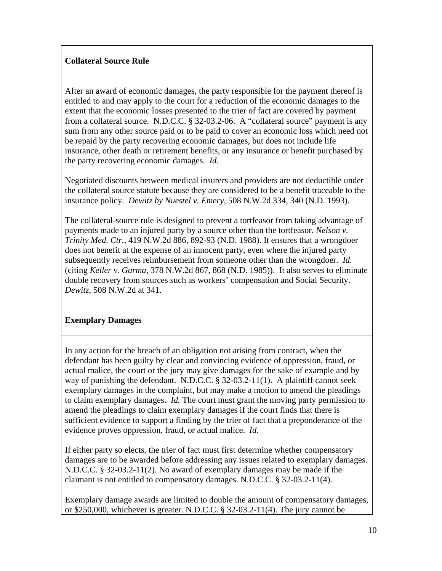### **Collateral Source Rule**

After an award of economic damages, the party responsible for the payment thereof is entitled to and may apply to the court for a reduction of the economic damages to the extent that the economic losses presented to the trier of fact are covered by payment from a collateral source. N.D.C.C. § 32-03.2-06. A "collateral source" payment is any sum from any other source paid or to be paid to cover an economic loss which need not be repaid by the party recovering economic damages, but does not include life insurance, other death or retirement benefits, or any insurance or benefit purchased by the party recovering economic damages. *Id.*

Negotiated discounts between medical insurers and providers are not deductible under the collateral source statute because they are considered to be a benefit traceable to the insurance policy. *Dewitz by Nuestel v. Emery*, 508 N.W.2d 334, 340 (N.D. 1993).

The collateral-source rule is designed to prevent a tortfeasor from taking advantage of payments made to an injured party by a source other than the tortfeasor. *Nelson v. Trinity Med. Ctr.*, 419 N.W.2d 886, 892-93 (N.D. 1988). It ensures that a wrongdoer does not benefit at the expense of an innocent party, even where the injured party subsequently receives reimbursement from someone other than the wrongdoer. *Id.* (citing *Keller v. Garma*, 378 N.W.2d 867, 868 (N.D. 1985)). It also serves to eliminate double recovery from sources such as workers' compensation and Social Security. *Dewitz*, 508 N.W.2d at 341.

### **Exemplary Damages**

In any action for the breach of an obligation not arising from contract, when the defendant has been guilty by clear and convincing evidence of oppression, fraud, or actual malice, the court or the jury may give damages for the sake of example and by way of punishing the defendant. N.D.C.C. § 32-03.2-11(1). A plaintiff cannot seek exemplary damages in the complaint, but may make a motion to amend the pleadings to claim exemplary damages. *Id.* The court must grant the moving party permission to amend the pleadings to claim exemplary damages if the court finds that there is sufficient evidence to support a finding by the trier of fact that a preponderance of the evidence proves oppression, fraud, or actual malice. *Id.*

If either party so elects, the trier of fact must first determine whether compensatory damages are to be awarded before addressing any issues related to exemplary damages. N.D.C.C. § 32-03.2-11(2). No award of exemplary damages may be made if the claimant is not entitled to compensatory damages. N.D.C.C. § 32-03.2-11(4).

Exemplary damage awards are limited to double the amount of compensatory damages, or \$250,000, whichever is greater. N.D.C.C. § 32-03.2-11(4). The jury cannot be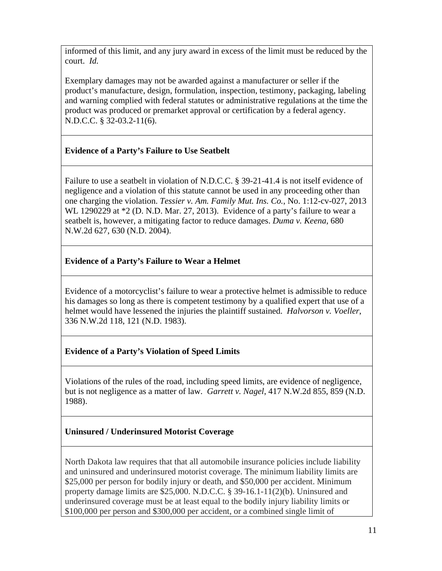informed of this limit, and any jury award in excess of the limit must be reduced by the court. *Id.*

Exemplary damages may not be awarded against a manufacturer or seller if the product's manufacture, design, formulation, inspection, testimony, packaging, labeling and warning complied with federal statutes or administrative regulations at the time the product was produced or premarket approval or certification by a federal agency. N.D.C.C. § 32-03.2-11(6).

# **Evidence of a Party's Failure to Use Seatbelt**

Failure to use a seatbelt in violation of N.D.C.C. § 39-21-41.4 is not itself evidence of negligence and a violation of this statute cannot be used in any proceeding other than one charging the violation. *Tessier v. Am. Family Mut. Ins. Co.*, No. 1:12-cv-027, 2013 WL 1290229 at  $*2$  (D. N.D. Mar. 27, 2013). Evidence of a party's failure to wear a seatbelt is, however, a mitigating factor to reduce damages. *Duma v. Keena*, 680 N.W.2d 627, 630 (N.D. 2004).

# **Evidence of a Party's Failure to Wear a Helmet**

Evidence of a motorcyclist's failure to wear a protective helmet is admissible to reduce his damages so long as there is competent testimony by a qualified expert that use of a helmet would have lessened the injuries the plaintiff sustained. *Halvorson v. Voeller*, 336 N.W.2d 118, 121 (N.D. 1983).

# **Evidence of a Party's Violation of Speed Limits**

Violations of the rules of the road, including speed limits, are evidence of negligence, but is not negligence as a matter of law. *Garrett v. Nagel*, 417 N.W.2d 855, 859 (N.D. 1988).

# **Uninsured / Underinsured Motorist Coverage**

North Dakota law requires that that all automobile insurance policies include liability and uninsured and underinsured motorist coverage. The minimum liability limits are \$25,000 per person for bodily injury or death, and \$50,000 per accident. Minimum property damage limits are \$25,000. N.D.C.C. § 39-16.1-11(2)(b). Uninsured and underinsured coverage must be at least equal to the bodily injury liability limits or \$100,000 per person and \$300,000 per accident, or a combined single limit of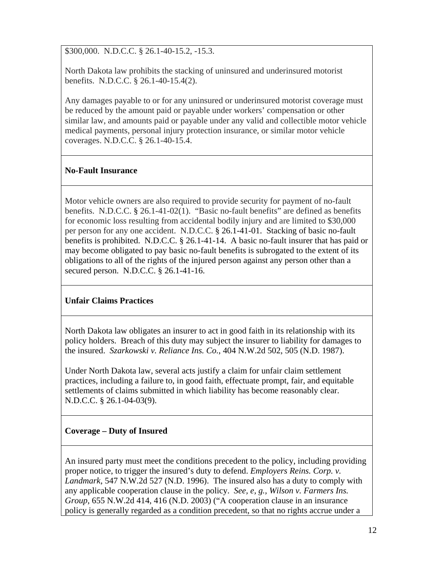\$300,000. N.D.C.C. § 26.1-40-15.2, -15.3.

North Dakota law prohibits the stacking of uninsured and underinsured motorist benefits. N.D.C.C. § 26.1-40-15.4(2).

Any damages payable to or for any uninsured or underinsured motorist coverage must be reduced by the amount paid or payable under workers' compensation or other similar law, and amounts paid or payable under any valid and collectible motor vehicle medical payments, personal injury protection insurance, or similar motor vehicle coverages. N.D.C.C. § 26.1-40-15.4.

# **No-Fault Insurance**

Motor vehicle owners are also required to provide security for payment of no-fault benefits. N.D.C.C. § 26.1-41-02(1). "Basic no-fault benefits" are defined as benefits for economic loss resulting from accidental bodily injury and are limited to \$30,000 per person for any one accident. N.D.C.C. § 26.1-41-01. Stacking of basic no-fault benefits is prohibited. N.D.C.C. § 26.1-41-14. A basic no-fault insurer that has paid or may become obligated to pay basic no-fault benefits is subrogated to the extent of its obligations to all of the rights of the injured person against any person other than a secured person. N.D.C.C. § 26.1-41-16.

# **Unfair Claims Practices**

North Dakota law obligates an insurer to act in good faith in its relationship with its policy holders. Breach of this duty may subject the insurer to liability for damages to the insured. *Szarkowski v. Reliance Ins. Co.*, 404 N.W.2d 502, 505 (N.D. 1987).

Under North Dakota law, several acts justify a claim for unfair claim settlement practices, including a failure to, in good faith, effectuate prompt, fair, and equitable settlements of claims submitted in which liability has become reasonably clear. N.D.C.C. § 26.1-04-03(9).

# **Coverage – Duty of Insured**

An insured party must meet the conditions precedent to the policy, including providing proper notice, to trigger the insured's duty to defend. *Employers Reins. Corp. v. Landmark*, 547 N.W.2d 527 (N.D. 1996). The insured also has a duty to comply with any applicable cooperation clause in the policy. *See, e, g., Wilson v. Farmers Ins. Group*, 655 N.W.2d 414, 416 (N.D. 2003) ("A cooperation clause in an insurance policy is generally regarded as a condition precedent, so that no rights accrue under a